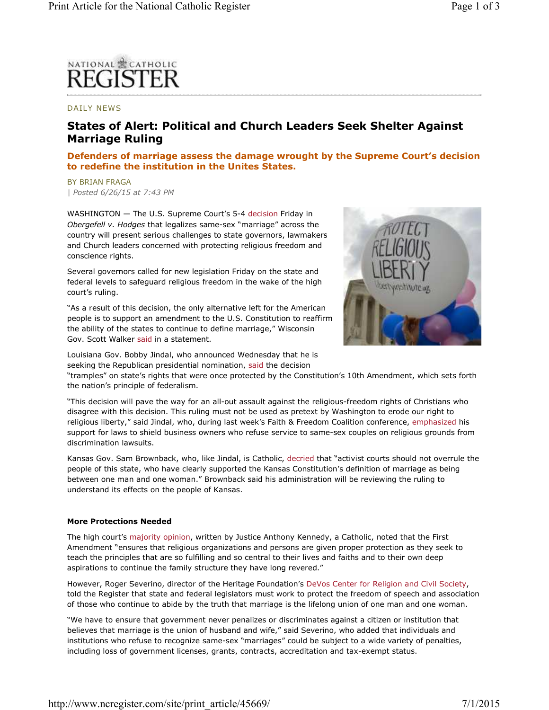# **NATIONAL 霊 CATHOLIC FGISTE**

## DAILY NEWS

## **States of Alert: Political and Church Leaders Seek Shelter Against Marriage Ruling**

## **Defenders of marriage assess the damage wrought by the Supreme Court's decision to redefine the institution in the Unites States.**

BY BRIAN FRAGA *| Posted 6/26/15 at 7:43 PM*

WASHINGTON — The U.S. Supreme Court's 5-4 decision Friday in *Obergefell v. Hodges* that legalizes same-sex "marriage" across the country will present serious challenges to state governors, lawmakers and Church leaders concerned with protecting religious freedom and conscience rights.

Several governors called for new legislation Friday on the state and federal levels to safeguard religious freedom in the wake of the high court's ruling.

"As a result of this decision, the only alternative left for the American people is to support an amendment to the U.S. Constitution to reaffirm the ability of the states to continue to define marriage," Wisconsin Gov. Scott Walker said in a statement.

Louisiana Gov. Bobby Jindal, who announced Wednesday that he is seeking the Republican presidential nomination, said the decision



"tramples" on state's rights that were once protected by the Constitution's 10th Amendment, which sets forth the nation's principle of federalism.

"This decision will pave the way for an all-out assault against the religious-freedom rights of Christians who disagree with this decision. This ruling must not be used as pretext by Washington to erode our right to religious liberty," said Jindal, who, during last week's Faith & Freedom Coalition conference, emphasized his support for laws to shield business owners who refuse service to same-sex couples on religious grounds from discrimination lawsuits.

Kansas Gov. Sam Brownback, who, like Jindal, is Catholic, decried that "activist courts should not overrule the people of this state, who have clearly supported the Kansas Constitution's definition of marriage as being between one man and one woman." Brownback said his administration will be reviewing the ruling to understand its effects on the people of Kansas.

### **More Protections Needed**

The high court's majority opinion, written by Justice Anthony Kennedy, a Catholic, noted that the First Amendment "ensures that religious organizations and persons are given proper protection as they seek to teach the principles that are so fulfilling and so central to their lives and faiths and to their own deep aspirations to continue the family structure they have long revered."

However, Roger Severino, director of the Heritage Foundation's DeVos Center for Religion and Civil Society, told the Register that state and federal legislators must work to protect the freedom of speech and association of those who continue to abide by the truth that marriage is the lifelong union of one man and one woman.

"We have to ensure that government never penalizes or discriminates against a citizen or institution that believes that marriage is the union of husband and wife," said Severino, who added that individuals and institutions who refuse to recognize same-sex "marriages" could be subject to a wide variety of penalties, including loss of government licenses, grants, contracts, accreditation and tax-exempt status.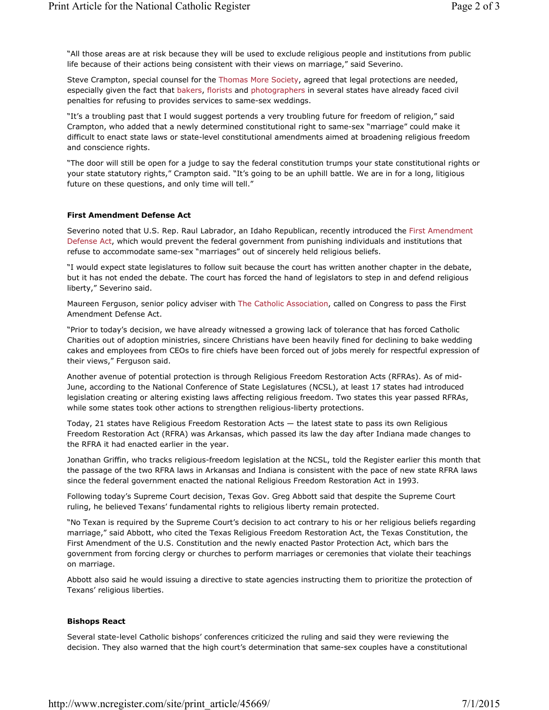"All those areas are at risk because they will be used to exclude religious people and institutions from public life because of their actions being consistent with their views on marriage," said Severino.

Steve Crampton, special counsel for the Thomas More Society, agreed that legal protections are needed, especially given the fact that bakers, florists and photographers in several states have already faced civil penalties for refusing to provides services to same-sex weddings.

"It's a troubling past that I would suggest portends a very troubling future for freedom of religion," said Crampton, who added that a newly determined constitutional right to same-sex "marriage" could make it difficult to enact state laws or state-level constitutional amendments aimed at broadening religious freedom and conscience rights.

"The door will still be open for a judge to say the federal constitution trumps your state constitutional rights or your state statutory rights," Crampton said. "It's going to be an uphill battle. We are in for a long, litigious future on these questions, and only time will tell."

### **First Amendment Defense Act**

Severino noted that U.S. Rep. Raul Labrador, an Idaho Republican, recently introduced the First Amendment Defense Act, which would prevent the federal government from punishing individuals and institutions that refuse to accommodate same-sex "marriages" out of sincerely held religious beliefs.

"I would expect state legislatures to follow suit because the court has written another chapter in the debate, but it has not ended the debate. The court has forced the hand of legislators to step in and defend religious liberty," Severino said.

Maureen Ferguson, senior policy adviser with The Catholic Association, called on Congress to pass the First Amendment Defense Act.

"Prior to today's decision, we have already witnessed a growing lack of tolerance that has forced Catholic Charities out of adoption ministries, sincere Christians have been heavily fined for declining to bake wedding cakes and employees from CEOs to fire chiefs have been forced out of jobs merely for respectful expression of their views," Ferguson said.

Another avenue of potential protection is through Religious Freedom Restoration Acts (RFRAs). As of mid-June, according to the National Conference of State Legislatures (NCSL), at least 17 states had introduced legislation creating or altering existing laws affecting religious freedom. Two states this year passed RFRAs, while some states took other actions to strengthen religious-liberty protections.

Today, 21 states have Religious Freedom Restoration Acts — the latest state to pass its own Religious Freedom Restoration Act (RFRA) was Arkansas, which passed its law the day after Indiana made changes to the RFRA it had enacted earlier in the year.

Jonathan Griffin, who tracks religious-freedom legislation at the NCSL, told the Register earlier this month that the passage of the two RFRA laws in Arkansas and Indiana is consistent with the pace of new state RFRA laws since the federal government enacted the national Religious Freedom Restoration Act in 1993.

Following today's Supreme Court decision, Texas Gov. Greg Abbott said that despite the Supreme Court ruling, he believed Texans' fundamental rights to religious liberty remain protected.

"No Texan is required by the Supreme Court's decision to act contrary to his or her religious beliefs regarding marriage," said Abbott, who cited the Texas Religious Freedom Restoration Act, the Texas Constitution, the First Amendment of the U.S. Constitution and the newly enacted Pastor Protection Act, which bars the government from forcing clergy or churches to perform marriages or ceremonies that violate their teachings on marriage.

Abbott also said he would issuing a directive to state agencies instructing them to prioritize the protection of Texans' religious liberties.

### **Bishops React**

Several state-level Catholic bishops' conferences criticized the ruling and said they were reviewing the decision. They also warned that the high court's determination that same-sex couples have a constitutional